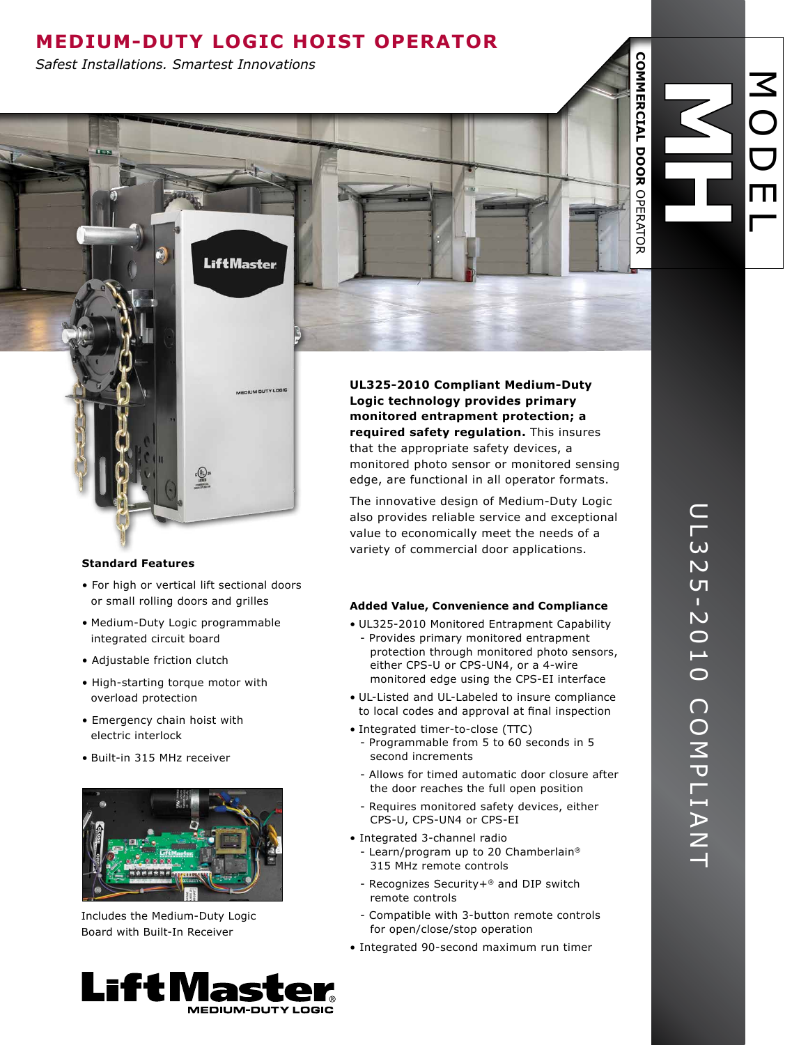# **Medium-Duty Logic HOIST Operator**

**LiftMaster** 

*Safest Installations. Smartest Innovations*

# **Standard Features**

- For high or vertical lift sectional doors or small rolling doors and grilles
- Medium-Duty Logic programmable integrated circuit board
- Adjustable friction clutch
- High-starting torque motor with overload protection
- Emergency chain hoist with electric interlock
- Built-in 315 MHz receiver



Includes the Medium-Duty Logic Board with Built-In Receiver



**UL325-2010 Compliant Medium-Duty Logic technology provides primary monitored entrapment protection; a required safety regulation.** This insures that the appropriate safety devices, a monitored photo sensor or monitored sensing edge, are functional in all operator formats.

The innovative design of Medium-Duty Logic also provides reliable service and exceptional value to economically meet the needs of a variety of commercial door applications.

## **Added Value, Convenience and Compliance**

- UL325-2010 Monitored Entrapment Capability - Provides primary monitored entrapment protection through monitored photo sensors, either CPS-U or CPS-UN4, or a 4-wire monitored edge using the CPS-EI interface
- UL-Listed and UL-Labeled to insure compliance to local codes and approval at final inspection
- Integrated timer-to-close (TTC)
	- Programmable from 5 to 60 seconds in 5 second increments
	- Allows for timed automatic door closure after the door reaches the full open position
	- Requires monitored safety devices, either CPS-U, CPS-UN4 or CPS-EI
- Integrated 3-channel radio
	- Learn/program up to 20 Chamberlain® 315 MHz remote controls
	- Recognizes Security+® and DIP switch remote controls
	- Compatible with 3-button remote controls for open/close/stop operation
- Integrated 90-second maximum run timer

 $\boldsymbol{\leq}$ 

O

**COMMERCIAL DOOR** 

**COMMERCIAL DOOR OPERATOR** 

OPERATOR

D

m

 $\Box$